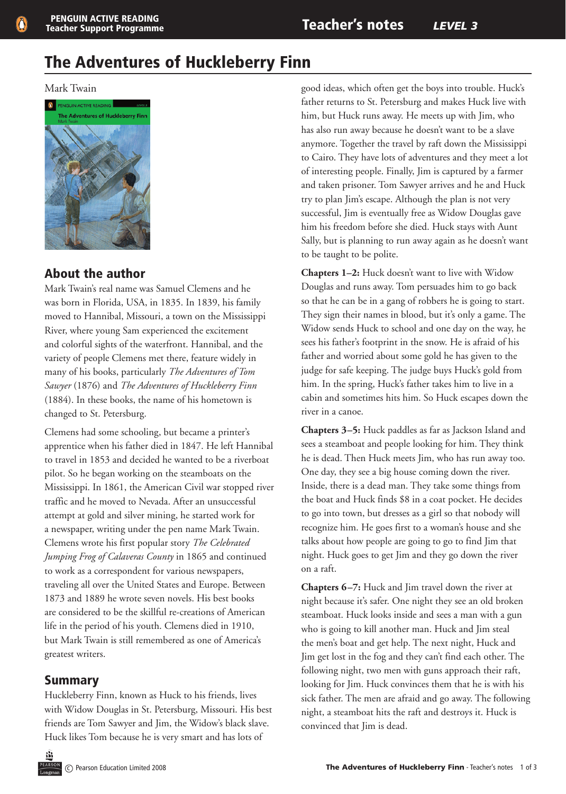# The Adventures of Huckleberry Finn

#### Mark Twain



# About the author

Mark Twain's real name was Samuel Clemens and he was born in Florida, USA, in 1835. In 1839, his family moved to Hannibal, Missouri, a town on the Mississippi River, where young Sam experienced the excitement and colorful sights of the waterfront. Hannibal, and the variety of people Clemens met there, feature widely in many of his books, particularly *The Adventures of Tom Sawyer* (1876) and *The Adventures of Huckleberry Finn* (1884). In these books, the name of his hometown is changed to St. Petersburg.

Clemens had some schooling, but became a printer's apprentice when his father died in 1847. He left Hannibal to travel in 1853 and decided he wanted to be a riverboat pilot. So he began working on the steamboats on the Mississippi. In 1861, the American Civil war stopped river traffic and he moved to Nevada. After an unsuccessful attempt at gold and silver mining, he started work for a newspaper, writing under the pen name Mark Twain. Clemens wrote his first popular story *The Celebrated Jumping Frog of Calaveras County* in 1865 and continued to work as a correspondent for various newspapers, traveling all over the United States and Europe. Between 1873 and 1889 he wrote seven novels. His best books are considered to be the skillful re-creations of American life in the period of his youth. Clemens died in 1910, but Mark Twain is still remembered as one of America's greatest writers.

# Summary

Huckleberry Finn, known as Huck to his friends, lives with Widow Douglas in St. Petersburg, Missouri. His best friends are Tom Sawyer and Jim, the Widow's black slave. Huck likes Tom because he is very smart and has lots of

good ideas, which often get the boys into trouble. Huck's father returns to St. Petersburg and makes Huck live with him, but Huck runs away. He meets up with Jim, who has also run away because he doesn't want to be a slave anymore. Together the travel by raft down the Mississippi to Cairo. They have lots of adventures and they meet a lot of interesting people. Finally, Jim is captured by a farmer and taken prisoner. Tom Sawyer arrives and he and Huck try to plan Jim's escape. Although the plan is not very successful, Jim is eventually free as Widow Douglas gave him his freedom before she died. Huck stays with Aunt Sally, but is planning to run away again as he doesn't want to be taught to be polite.

**Chapters 1–2:** Huck doesn't want to live with Widow Douglas and runs away. Tom persuades him to go back so that he can be in a gang of robbers he is going to start. They sign their names in blood, but it's only a game. The Widow sends Huck to school and one day on the way, he sees his father's footprint in the snow. He is afraid of his father and worried about some gold he has given to the judge for safe keeping. The judge buys Huck's gold from him. In the spring, Huck's father takes him to live in a cabin and sometimes hits him. So Huck escapes down the river in a canoe.

**Chapters 3–5:** Huck paddles as far as Jackson Island and sees a steamboat and people looking for him. They think he is dead. Then Huck meets Jim, who has run away too. One day, they see a big house coming down the river. Inside, there is a dead man. They take some things from the boat and Huck finds \$8 in a coat pocket. He decides to go into town, but dresses as a girl so that nobody will recognize him. He goes first to a woman's house and she talks about how people are going to go to find Jim that night. Huck goes to get Jim and they go down the river on a raft.

**Chapters 6–7:** Huck and Jim travel down the river at night because it's safer. One night they see an old broken steamboat. Huck looks inside and sees a man with a gun who is going to kill another man. Huck and Jim steal the men's boat and get help. The next night, Huck and Jim get lost in the fog and they can't find each other. The following night, two men with guns approach their raft, looking for Jim. Huck convinces them that he is with his sick father. The men are afraid and go away. The following night, a steamboat hits the raft and destroys it. Huck is convinced that Jim is dead.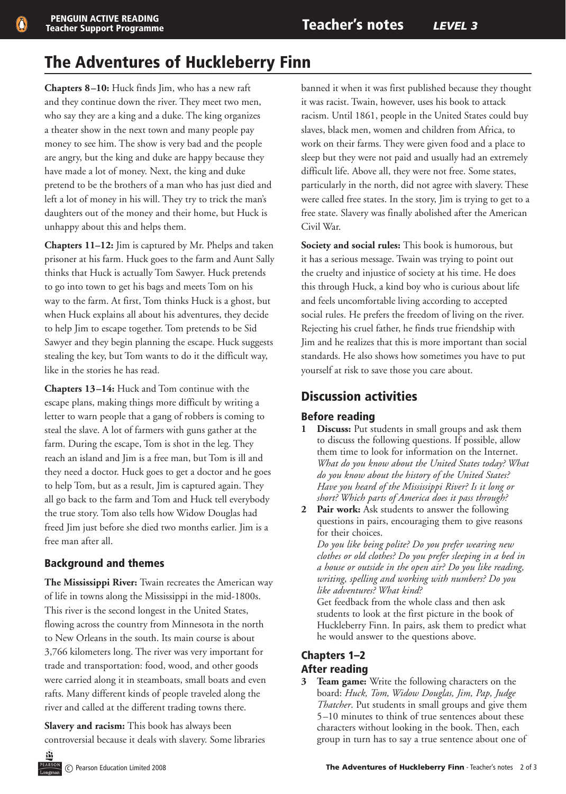# The Adventures of Huckleberry Finn

**Chapters 8–10:** Huck finds Jim, who has a new raft and they continue down the river. They meet two men, who say they are a king and a duke. The king organizes a theater show in the next town and many people pay money to see him. The show is very bad and the people are angry, but the king and duke are happy because they have made a lot of money. Next, the king and duke pretend to be the brothers of a man who has just died and left a lot of money in his will. They try to trick the man's daughters out of the money and their home, but Huck is unhappy about this and helps them.

**Chapters 11–12:** Jim is captured by Mr. Phelps and taken prisoner at his farm. Huck goes to the farm and Aunt Sally thinks that Huck is actually Tom Sawyer. Huck pretends to go into town to get his bags and meets Tom on his way to the farm. At first, Tom thinks Huck is a ghost, but when Huck explains all about his adventures, they decide to help Jim to escape together. Tom pretends to be Sid Sawyer and they begin planning the escape. Huck suggests stealing the key, but Tom wants to do it the difficult way, like in the stories he has read.

**Chapters 13–14:** Huck and Tom continue with the escape plans, making things more difficult by writing a letter to warn people that a gang of robbers is coming to steal the slave. A lot of farmers with guns gather at the farm. During the escape, Tom is shot in the leg. They reach an island and Jim is a free man, but Tom is ill and they need a doctor. Huck goes to get a doctor and he goes to help Tom, but as a result, Jim is captured again. They all go back to the farm and Tom and Huck tell everybody the true story. Tom also tells how Widow Douglas had freed Jim just before she died two months earlier. Jim is a free man after all.

# Background and themes

**The Mississippi River:** Twain recreates the American way of life in towns along the Mississippi in the mid-1800s. This river is the second longest in the United States, flowing across the country from Minnesota in the north to New Orleans in the south. Its main course is about 3,766 kilometers long. The river was very important for trade and transportation: food, wood, and other goods were carried along it in steamboats, small boats and even rafts. Many different kinds of people traveled along the river and called at the different trading towns there.

**Slavery and racism:** This book has always been controversial because it deals with slavery. Some libraries banned it when it was first published because they thought it was racist. Twain, however, uses his book to attack racism. Until 1861, people in the United States could buy slaves, black men, women and children from Africa, to work on their farms. They were given food and a place to sleep but they were not paid and usually had an extremely difficult life. Above all, they were not free. Some states, particularly in the north, did not agree with slavery. These were called free states. In the story, Jim is trying to get to a free state. Slavery was finally abolished after the American Civil War.

**Society and social rules:** This book is humorous, but it has a serious message. Twain was trying to point out the cruelty and injustice of society at his time. He does this through Huck, a kind boy who is curious about life and feels uncomfortable living according to accepted social rules. He prefers the freedom of living on the river. Rejecting his cruel father, he finds true friendship with Jim and he realizes that this is more important than social standards. He also shows how sometimes you have to put yourself at risk to save those you care about.

# Discussion activities

## Before reading

- **1 Discuss:** Put students in small groups and ask them to discuss the following questions. If possible, allow them time to look for information on the Internet. *What do you know about the United States today? What do you know about the history of the United States? Have you heard of the Mississippi River? Is it long or short? Which parts of America does it pass through?*
- **2 Pair work:** Ask students to answer the following questions in pairs, encouraging them to give reasons for their choices.

*Do you like being polite? Do you prefer wearing new clothes or old clothes? Do you prefer sleeping in a bed in a house or outside in the open air? Do you like reading, writing, spelling and working with numbers? Do you like adventures? What kind?*

Get feedback from the whole class and then ask students to look at the first picture in the book of Huckleberry Finn. In pairs, ask them to predict what he would answer to the questions above.

# Chapters 1–2

## After reading

**3 Team game:** Write the following characters on the board: *Huck, Tom, Widow Douglas, Jim, Pap, Judge Thatcher*. Put students in small groups and give them 5–10 minutes to think of true sentences about these characters without looking in the book. Then, each group in turn has to say a true sentence about one of